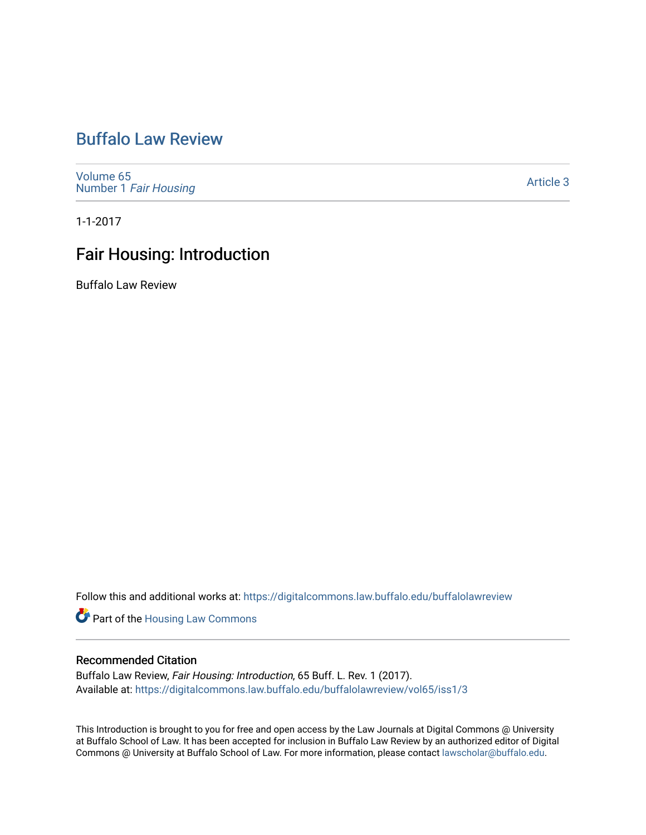## [Buffalo Law Review](https://digitalcommons.law.buffalo.edu/buffalolawreview)

[Volume 65](https://digitalcommons.law.buffalo.edu/buffalolawreview/vol65) Number 1 [Fair Housing](https://digitalcommons.law.buffalo.edu/buffalolawreview/vol65/iss1) 

[Article 3](https://digitalcommons.law.buffalo.edu/buffalolawreview/vol65/iss1/3) 

1-1-2017

## Fair Housing: Introduction

Buffalo Law Review

Follow this and additional works at: [https://digitalcommons.law.buffalo.edu/buffalolawreview](https://digitalcommons.law.buffalo.edu/buffalolawreview?utm_source=digitalcommons.law.buffalo.edu%2Fbuffalolawreview%2Fvol65%2Fiss1%2F3&utm_medium=PDF&utm_campaign=PDFCoverPages) 

Part of the [Housing Law Commons](http://network.bepress.com/hgg/discipline/846?utm_source=digitalcommons.law.buffalo.edu%2Fbuffalolawreview%2Fvol65%2Fiss1%2F3&utm_medium=PDF&utm_campaign=PDFCoverPages) 

#### Recommended Citation

Buffalo Law Review, Fair Housing: Introduction, 65 Buff. L. Rev. 1 (2017). Available at: [https://digitalcommons.law.buffalo.edu/buffalolawreview/vol65/iss1/3](https://digitalcommons.law.buffalo.edu/buffalolawreview/vol65/iss1/3?utm_source=digitalcommons.law.buffalo.edu%2Fbuffalolawreview%2Fvol65%2Fiss1%2F3&utm_medium=PDF&utm_campaign=PDFCoverPages) 

This Introduction is brought to you for free and open access by the Law Journals at Digital Commons @ University at Buffalo School of Law. It has been accepted for inclusion in Buffalo Law Review by an authorized editor of Digital Commons @ University at Buffalo School of Law. For more information, please contact [lawscholar@buffalo.edu](mailto:lawscholar@buffalo.edu).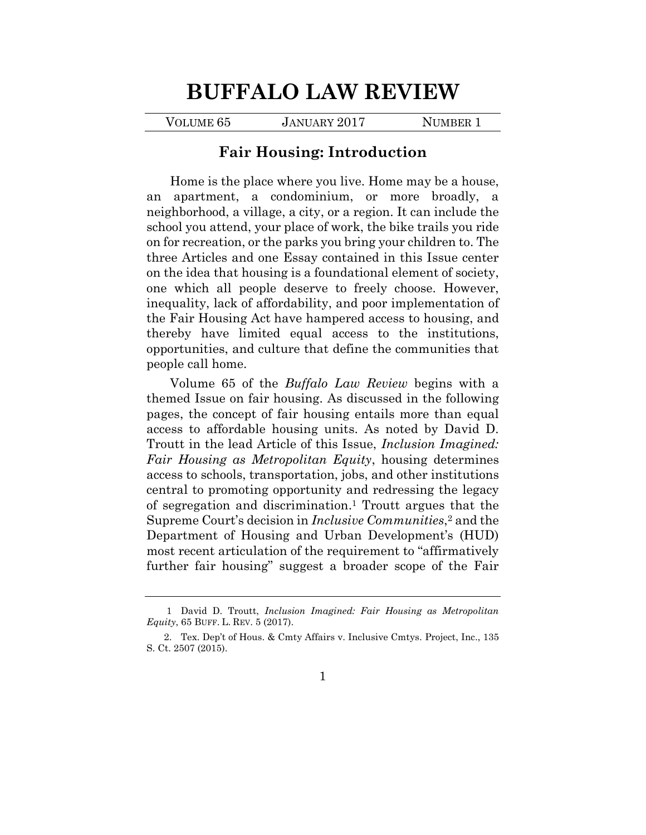# **BUFFALO LAW REVIEW**

VOLUME 65 JANUARY 2017 NUMBER 1

### **Fair Housing: Introduction**

 Home is the place where you live. Home may be a house, an apartment, a condominium, or more broadly, a neighborhood, a village, a city, or a region. It can include the on for recreation, or the parks you bring your children to. The three Articles and one Essay contained in this Issue center inequality, lack of affordability, and poor implementation of the Fair Housing Act have hampered access to housing, and school you attend, your place of work, the bike trails you ride on the idea that housing is a foundational element of society, one which all people deserve to freely choose. However, thereby have limited equal access to the institutions, opportunities, and culture that define the communities that people call home.

 themed Issue on fair housing. As discussed in the following pages, the concept of fair housing entails more than equal access to affordable housing units. As noted by David D. Troutt in the lead Article of this Issue, *Inclusion Imagined: Fair Housing as Metropolitan Equity*, housing determines central to promoting opportunity and redressing the legacy of segregation and discrimination.1 Troutt argues that the Supreme Court's decision in *Inclusive Communities*,2 and the Department of Housing and Urban Development's (HUD) further fair housing" suggest a broader scope of the Fair Volume 65 of the *Buffalo Law Review* begins with a access to schools, transportation, jobs, and other institutions most recent articulation of the requirement to "affirmatively

 1 David D. Troutt, *Inclusion Imagined: Fair Housing as Metropolitan Equity*, 65 BUFF. L. REV. 5 (2017).

 2. Tex. Dep't of Hous. & Cmty Affairs v. Inclusive Cmtys. Project, Inc., 135 S. Ct. 2507 (2015).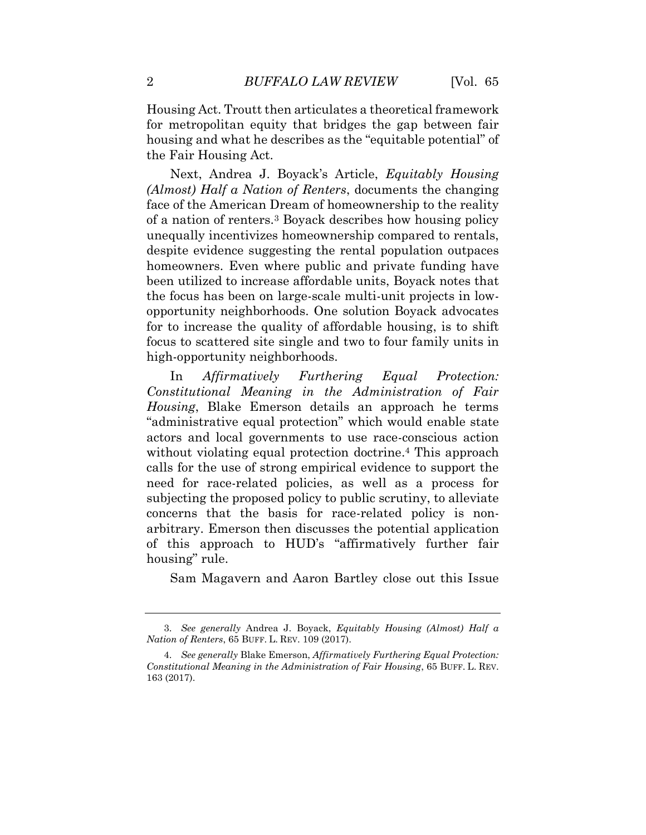Housing Act. Troutt then articulates a theoretical framework for metropolitan equity that bridges the gap between fair housing and what he describes as the "equitable potential" of the Fair Housing Act.

 Next, Andrea J. Boyack's Article, *Equitably Housing (Almost) Half a Nation of Renters*, documents the changing unequally incentivizes homeownership compared to rentals, homeowners. Even where public and private funding have been utilized to increase affordable units, Boyack notes that focus to scattered site single and two to four family units in face of the American Dream of homeownership to the reality of a nation of renters.3 Boyack describes how housing policy despite evidence suggesting the rental population outpaces the focus has been on large-scale multi-unit projects in lowopportunity neighborhoods. One solution Boyack advocates for to increase the quality of affordable housing, is to shift high-opportunity neighborhoods.

*Furthering Constitutional Meaning in the Administration of Fair*  actors and local governments to use race-conscious action calls for the use of strong empirical evidence to support the need for race-related policies, as well as a process for subjecting the proposed policy to public scrutiny, to alleviate of this approach to HUD's "affirmatively further fair In *Affirmatively Furthering Equal Protection: Housing*, Blake Emerson details an approach he terms "administrative equal protection" which would enable state without violating equal protection doctrine.<sup>4</sup> This approach concerns that the basis for race-related policy is nonarbitrary. Emerson then discusses the potential application housing" rule.

Sam Magavern and Aaron Bartley close out this Issue

<sup>3.</sup> *See generally* Andrea J. Boyack, *Equitably Housing (Almost) Half a Nation of Renters*, 65 BUFF. L. REV. 109 (2017).

<sup>4.</sup> *See generally* Blake Emerson, *Affirmatively Furthering Equal Protection: Constitutional Meaning in the Administration of Fair Housing*, 65 BUFF. L. REV. 163 (2017).